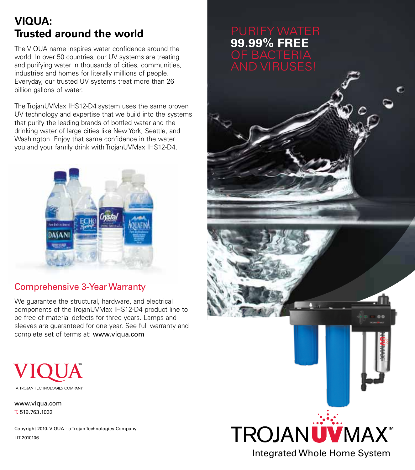# **VIQUA: Trusted around the world**

The VIQUA name inspires water confidence around the world. In over 50 countries, our UV systems are treating and purifying water in thousands of cities, communities, industries and homes for literally millions of people. Everyday, our trusted UV systems treat more than 26 billion gallons of water.

The TrojanUVMax IHS12-D4 system uses the same proven UV technology and expertise that we build into the systems that purify the leading brands of bottled water and the drinking water of large cities like New York, Seattle, and Washington. Enjoy that same confidence in the water you and your family drink with TrojanUVMax IHS12-D4.



## Comprehensive 3-Year Warranty

We guarantee the structural, hardware, and electrical components of the TrojanUVMax IHS12-D4 product line to be free of material defects for three years. Lamps and sleeves are guaranteed for one year. See full warranty and complete set of terms at: www.viqua.com



www.viqua.com T. 519.763.1032

Copyright 2010. VIQUA - a Trojan Technologies Company. LIT-2010106

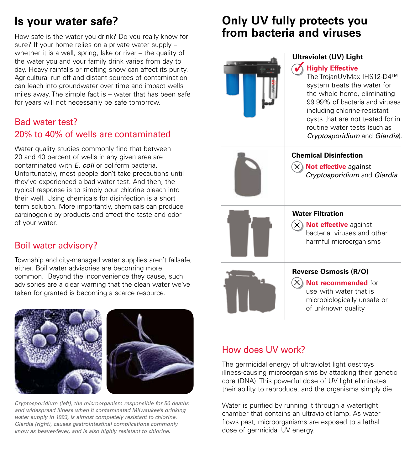# **Is your water safe?**

How safe is the water you drink? Do you really know for sure? If your home relies on a private water supply – whether it is a well, spring, lake or river – the quality of the water you and your family drink varies from day to day. Heavy rainfalls or melting snow can affect its purity. Agricultural run-off and distant sources of contamination can leach into groundwater over time and impact wells miles away. The simple fact is – water that has been safe for years will not necessarily be safe tomorrow.

#### Bad water test? 20% to 40% of wells are contaminated

Water quality studies commonly find that between 20 and 40 percent of wells in any given area are contaminated with *E. coli* or coliform bacteria. Unfortunately, most people don't take precautions until they've experienced a bad water test. And then, the typical response is to simply pour chlorine bleach into their well. Using chemicals for disinfection is a short term solution. More importantly, chemicals can produce carcinogenic by-products and affect the taste and odor of your water.

### Boil water advisory?

Township and city-managed water supplies aren't failsafe, either. Boil water advisories are becoming more common. Beyond the inconvenience they cause, such advisories are a clear warning that the clean water we've taken for granted is becoming a scarce resource.



*Cryptosporidium (left), the microorganism responsible for 50 deaths and widespread illness when it contaminated Milwaukee's drinking water supply in 1993, is almost completely resistant to chlorine. Giardia (right), causes gastrointestinal complications commonly know as beaver-fever, and is also highly resistant to chlorine.* 

## **Only UV fully protects you from bacteria and viruses**



#### **Ultraviolet (UV) Light**

#### **Highly Effective** ✓

The TrojanUVMax IHS12-D4™ system treats the water for the whole home, eliminating 99.99% of bacteria and viruses including chlorine-resistant cysts that are not tested for in routine water tests (such as *Cryptosporidium* and *Giardia*).



#### **Chemical Disinfection**

**X**) Not effective against *Cryptosporidium* and *Giardia*



#### **Water Filtration**

**X**) Not effective against bacteria, viruses and other harmful microorganisms



#### **Reverse Osmosis (R/O)**

**X**) Not recommended for use with water that is microbiologically unsafe or of unknown quality

### How does UV work?

The germicidal energy of ultraviolet light destroys illness-causing microorganisms by attacking their genetic core (DNA). This powerful dose of UV light eliminates their ability to reproduce, and the organisms simply die.

Water is purified by running it through a watertight chamber that contains an ultraviolet lamp. As water flows past, microorganisms are exposed to a lethal dose of germicidal UV energy.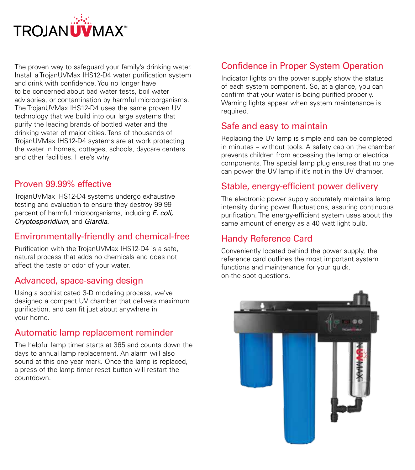

The proven way to safeguard your family's drinking water. Install a TrojanUVMax IHS12-D4 water purification system and drink with confidence. You no longer have to be concerned about bad water tests, boil water advisories, or contamination by harmful microorganisms. The TrojanUVMax IHS12-D4 uses the same proven UV technology that we build into our large systems that purify the leading brands of bottled water and the drinking water of major cities. Tens of thousands of TrojanUVMax IHS12-D4 systems are at work protecting the water in homes, cottages, schools, daycare centers and other facilities. Here's why.

#### Proven 99.99% effective

TrojanUVMax IHS12-D4 systems undergo exhaustive testing and evaluation to ensure they destroy 99.99 percent of harmful microorganisms, including *E. coli, Cryptosporidium,* and *Giardia.*

#### Environmentally-friendly and chemical-free

Purification with the TrojanUVMax IHS12-D4 is a safe, natural process that adds no chemicals and does not affect the taste or odor of your water.

#### Advanced, space-saving design

Using a sophisticated 3-D modeling process, we've designed a compact UV chamber that delivers maximum purification, and can fit just about anywhere in your home.

### Automatic lamp replacement reminder

The helpful lamp timer starts at 365 and counts down the days to annual lamp replacement. An alarm will also sound at this one year mark. Once the lamp is replaced, a press of the lamp timer reset button will restart the countdown.

## Confidence in Proper System Operation

Indicator lights on the power supply show the status of each system component. So, at a glance, you can confirm that your water is being purified properly. Warning lights appear when system maintenance is required.

#### Safe and easy to maintain

Replacing the UV lamp is simple and can be completed in minutes – without tools. A safety cap on the chamber prevents children from accessing the lamp or electrical components. The special lamp plug ensures that no one can power the UV lamp if it's not in the UV chamber.

### Stable, energy-efficient power delivery

The electronic power supply accurately maintains lamp intensity during power fluctuations, assuring continuous purification. The energy-efficient system uses about the same amount of energy as a 40 watt light bulb.

#### Handy Reference Card

Conveniently located behind the power supply, the reference card outlines the most important system functions and maintenance for your quick, on-the-spot questions.